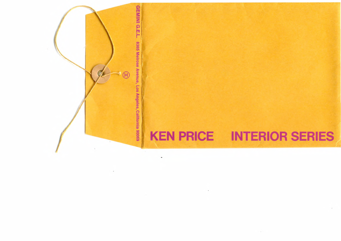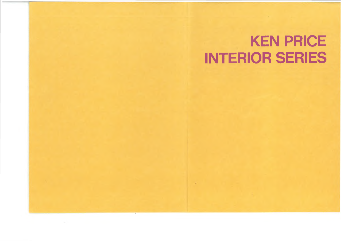#### **KEN PRICE INTERIOR SERIES**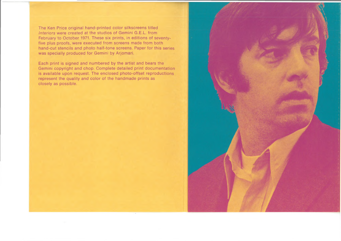The Ken Price original hand-printed color silkscreens titled *Interiors* were created at the studios of Gemini G.E.L. from February to October 1971. These six prints, in editions of seventyfive plus proofs, were executed from screens made from both hand-cut stencils and photo half-tone screens. Paper for this series was specially produced for Gemini by Arjomari.

Each print is signed and numbered by the artist and bears the Gemini copyright and chop. Complete detailed print documentation is available upon request. The enclosed photo-offset reproductions represent the quality and color of the handmade prints as closely as possible.

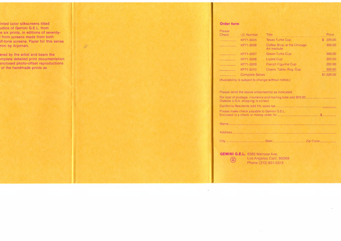#### **Order form**

| I.D. Number | Title                                       |                        | Price      |
|-------------|---------------------------------------------|------------------------|------------|
| KP71-5005   | Texas Turtle Cup                            |                        | 225.00     |
| KP71-5006   | Coffee Shop at the Chicago<br>Art Institute |                        | 300.00     |
| KP71-5007   | <b>Green Turtle Cup</b>                     |                        | 300.00     |
| KP71-5008   | <b>Lizard Cup</b>                           |                        | 200.00     |
| KP71-5009   | <b>French Figurine Cup</b>                  |                        | 200.00     |
| KP71-5010   | Chairs, Table, Rug, Cup                     |                        | 300.00     |
|             |                                             |                        | \$1,525.00 |
|             |                                             | <b>Complete Series</b> |            |

(Availability is subject to change without notice.)

Please send the above silkscreen(s) as indicated. For cost of postage, insurance and mailing tube add \$10.00.................. Outside U.S.A. shipping is collect. California Residents add 5% sales tax.................................................... Please make check payable to Gemini G.E.L. Enclosed is a check or money order for..............................................\$. Name\_\_\_\_\_\_\_\_\_\_\_\_\_\_\_\_\_\_\_\_\_\_\_\_\_\_\_\_\_\_\_\_\_\_\_\_\_\_\_\_\_\_\_\_\_\_\_\_\_\_\_\_\_ Address\_\_\_\_\_\_\_\_\_\_\_\_\_\_\_\_\_\_\_\_\_\_\_\_\_\_\_\_\_\_\_\_\_\_\_\_\_\_\_\_\_\_\_\_\_\_\_\_\_\_ City\_\_\_\_\_\_\_\_\_\_\_\_ L\_\_\_\_\_\_\_\_\_State\_\_\_\_\_\_\_\_\_\_\_\_\_\_\_\_\_\_ Zip Code\_ **GEMINI G.E.L.** 8365 Melrose Ave. (**iii)** Los Angeles, Calif. 90069<br>Phone (213) 651-0513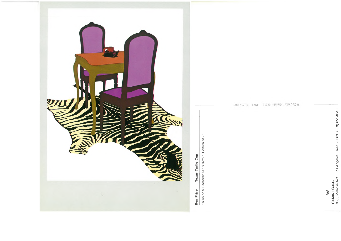

Texas Turtle Cup Ken Price

16 color silkscreen: 41" x 321/2" Edition of 75.

@ Copyright Gemini G.E.L. 1971 KP71-5005

 $\textcircled{\scriptsize\textsf{B}}$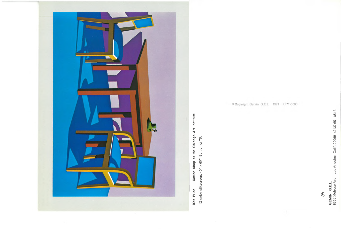

# Coffee Shop at the Chicago Art Institute Ken Price

12 color silkscreen: 40" x 60". Edition of 75.

© Copyright Gemini G.E.L. 1971 KP71-5006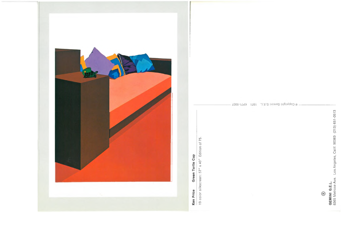

#### Green Turtle Cup Ken Price

19 color silkscreen: 57" x 40" Edition of 75.

@ Copyright Gemini G.E.L. 1971 KP71-5007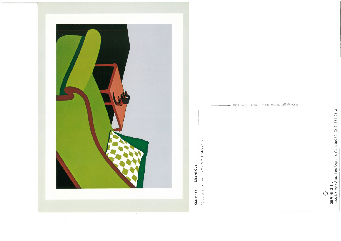

### Lizard Cup Ken Price

16 color silkscreen: 30" x 40" Edition of 75.

@ Copyright Gemini G.E.L. 1971 KP71-5008 ~

 $\textcircled{\scriptsize\textsf{B}}$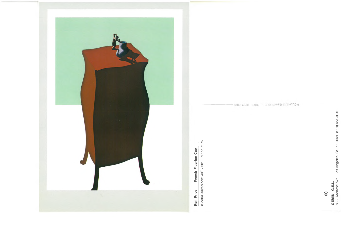

French Figurine Cup Ken Price

8 color silkscreen: 40" x 30" Edition of 75.

@ Copyright Gemini G.E.L. 1971 KP71-5009.

GEMINI G.E.L.<br>8365 Meirose Ave. Los Angeles, Calif. 90069 (213) 651-0513